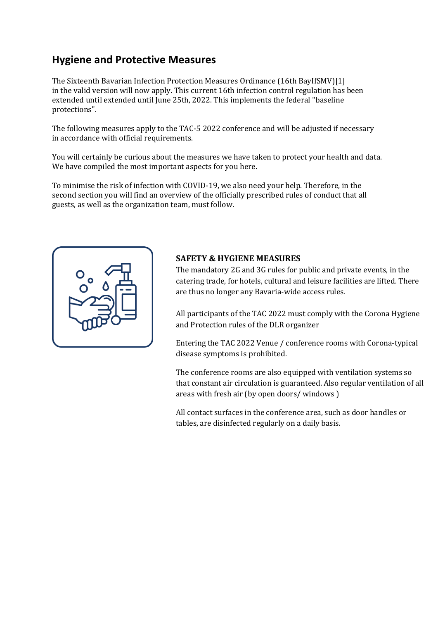# **Hygiene and Protective Measures**

The Sixteenth Bavarian Infection Protection Measures Ordinance (16th BayIfSMV)[1] in the valid version will now apply. This current 16th infection control regulation has been extended until extended until June 25th, 2022. This implements the federal "baseline protections".

The following measures apply to the TAC-5 2022 conference and will be adjusted if necessary in accordance with official requirements.

You will certainly be curious about the measures we have taken to protect your health and data. We have compiled the most important aspects for you here.

To minimise the risk of infection with COVID-19, we also need your help. Therefore, in the second section you will find an overview of the officially prescribed rules of conduct that all guests, as well as the organization team, must follow.



### **SAFETY & HYGIENE MEASURES**

The mandatory 2G and 3G rules for public and private events, in the catering trade, for hotels, cultural and leisure facilities are lifted. There are thus no longer any Bavaria-wide access rules.

All participants of the TAC 2022 must comply with the Corona Hygiene and Protection rules of the DLR organizer

Entering the TAC 2022 Venue / conference rooms with Corona-typical disease symptoms is prohibited.

The conference rooms are also equipped with ventilation systems so that constant air circulation is guaranteed. Also regular ventilation of all areas with fresh air (by open doors/ windows )

All contact surfaces in the conference area, such as door handles or tables, are disinfected regularly on a daily basis.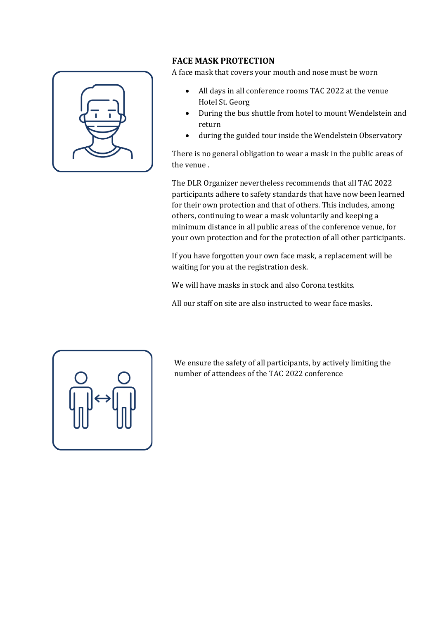

#### **FACE MASK PROTECTION**

A face mask that covers your mouth and nose must be worn

- All days in all conference rooms TAC 2022 at the venue Hotel St. Georg
- During the bus shuttle from hotel to mount Wendelstein and return
- during the guided tour inside the Wendelstein Observatory

There is no general obligation to wear a mask in the public areas of the venue .

The DLR Organizer nevertheless recommends that all TAC 2022 participants adhere to safety standards that have now been learned for their own protection and that of others. This includes, among others, continuing to wear a mask voluntarily and keeping a minimum distance in all public areas of the conference venue, for your own protection and for the protection of all other participants.

If you have forgotten your own face mask, a replacement will be waiting for you at the registration desk.

We will have masks in stock and also Corona testkits.

All our staff on site are also instructed to wear face masks.



We ensure the safety of all participants, by actively limiting the number of attendees of the TAC 2022 conference